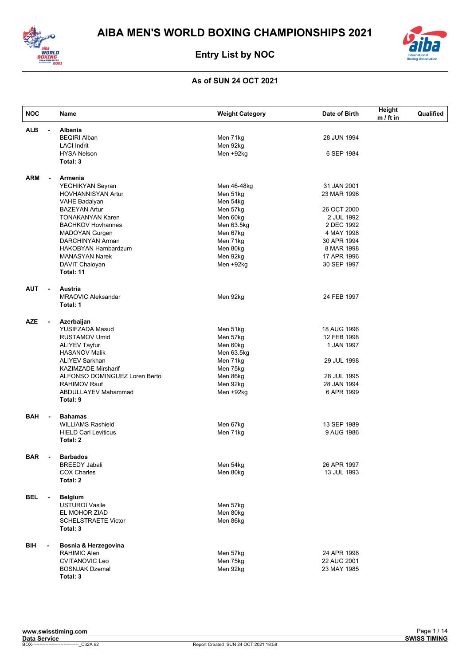



| <b>NOC</b>                   | Name                                  | <b>Weight Category</b> | Date of Birth | Height<br>$m / ft$ in | Qualified |
|------------------------------|---------------------------------------|------------------------|---------------|-----------------------|-----------|
| <b>ALB</b>                   | <b>Albania</b><br>$\blacksquare$      |                        |               |                       |           |
|                              | <b>BEQIRI Alban</b>                   | Men 71kg               | 28 JUN 1994   |                       |           |
|                              | <b>LACI Indrit</b>                    | Men 92kg               |               |                       |           |
|                              | <b>HYSA Nelson</b>                    | Men +92kg              | 6 SEP 1984    |                       |           |
|                              | Total: 3                              |                        |               |                       |           |
| <b>ARM</b>                   | Armenia<br>$\blacksquare$             |                        |               |                       |           |
|                              | YEGHIKYAN Seyran                      | Men 46-48kg            | 31 JAN 2001   |                       |           |
|                              | HOVHANNISYAN Artur                    | Men 51kg               | 23 MAR 1996   |                       |           |
|                              | <b>VAHE Badalyan</b>                  | Men 54kg               |               |                       |           |
|                              | <b>BAZEYAN Artur</b>                  | Men 57kg               | 26 OCT 2000   |                       |           |
|                              | <b>TONAKANYAN Karen</b>               | Men 60kg               | 2 JUL 1992    |                       |           |
|                              | <b>BACHKOV Hovhannes</b>              | Men 63.5kg             | 2 DEC 1992    |                       |           |
|                              | <b>MADOYAN Gurgen</b>                 | Men 67kg               | 4 MAY 1998    |                       |           |
|                              | DARCHINYAN Arman                      | Men 71kg               | 30 APR 1994   |                       |           |
|                              | HAKOBYAN Hambardzum                   | Men 80kg               | 8 MAR 1998    |                       |           |
|                              | <b>MANASYAN Narek</b>                 | Men 92kg               | 17 APR 1996   |                       |           |
|                              | DAVIT Chaloyan                        | Men +92kg              | 30 SEP 1997   |                       |           |
|                              | Total: 11                             |                        |               |                       |           |
| <b>AUT</b><br>$\blacksquare$ | Austria                               |                        |               |                       |           |
|                              | <b>MRAOVIC Aleksandar</b><br>Total: 1 | Men 92kg               | 24 FEB 1997   |                       |           |
| <b>AZE</b>                   | Azerbaijan<br>$\blacksquare$          |                        |               |                       |           |
|                              | <b>YUSIFZADA Masud</b>                | Men 51kg               | 18 AUG 1996   |                       |           |
|                              | <b>RUSTAMOV Umid</b>                  | Men 57kg               | 12 FEB 1998   |                       |           |
|                              | <b>ALIYEV Tayfur</b>                  | Men 60kg               | 1 JAN 1997    |                       |           |
|                              | <b>HASANOV Malik</b>                  | Men 63.5kg             |               |                       |           |
|                              | <b>ALIYEV Sarkhan</b>                 | Men 71kg               | 29 JUL 1998   |                       |           |
|                              | <b>KAZIMZADE Mirsharif</b>            | Men 75kg               |               |                       |           |
|                              | ALFONSO DOMINGUEZ Loren Berto         | Men 86kg               | 28 JUL 1995   |                       |           |
|                              | <b>RAHIMOV Rauf</b>                   | Men 92kg               | 28 JAN 1994   |                       |           |
|                              | ABDULLAYEV Mahammad                   | Men +92kg              | 6 APR 1999    |                       |           |
|                              | Total: 9                              |                        |               |                       |           |
| <b>BAH</b>                   | <b>Bahamas</b><br>$\blacksquare$      |                        |               |                       |           |
|                              | <b>WILLIAMS Rashield</b>              | Men 67kg               | 13 SEP 1989   |                       |           |
|                              | <b>HIELD Carl Leviticus</b>           | Men 71kg               | 9 AUG 1986    |                       |           |
|                              | Total: 2                              |                        |               |                       |           |
| <b>BAR</b>                   | <b>Barbados</b>                       |                        |               |                       |           |
|                              | <b>BREEDY Jabali</b>                  | Men 54kg               | 26 APR 1997   |                       |           |
|                              | <b>COX Charles</b>                    | Men 80kg               | 13 JUL 1993   |                       |           |
|                              | Total: 2                              |                        |               |                       |           |
| <b>BEL</b>                   | <b>Belgium</b><br>$\blacksquare$      |                        |               |                       |           |
|                              | <b>USTUROI Vasile</b>                 | Men 57kg               |               |                       |           |
|                              | EL MOHOR ZIAD                         | Men 80kg               |               |                       |           |
|                              | <b>SCHELSTRAETE Victor</b>            | Men 86kg               |               |                       |           |
|                              | Total: 3                              |                        |               |                       |           |
| BIH<br>$\blacksquare$        | Bosnia & Herzegovina                  |                        |               |                       |           |
|                              | RAHIMIC Alen                          | Men 57kg               | 24 APR 1998   |                       |           |
|                              | <b>CVITANOVIC Leo</b>                 | Men 75kg               | 22 AUG 2001   |                       |           |
|                              | <b>BOSNJAK Dzemal</b>                 | Men 92kg               | 23 MAY 1985   |                       |           |
|                              | Total: 3                              |                        |               |                       |           |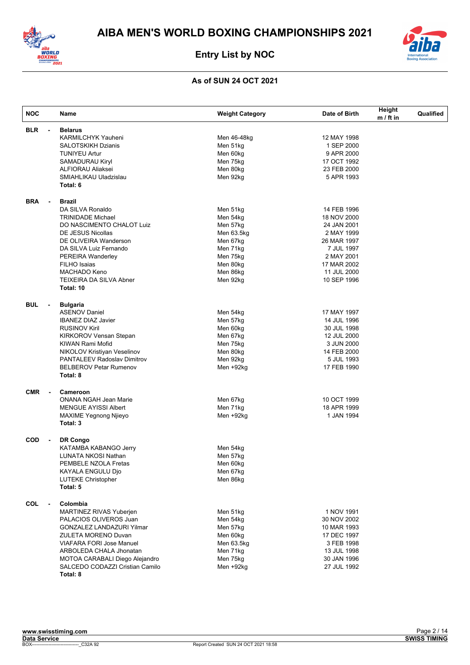



| <b>NOC</b>                   | Name                                                                                                                                                                                                                                                                                  | <b>Weight Category</b>                                                                                                 | Date of Birth                                                                                                                                   | Height<br>$m / ft$ in | Qualified |
|------------------------------|---------------------------------------------------------------------------------------------------------------------------------------------------------------------------------------------------------------------------------------------------------------------------------------|------------------------------------------------------------------------------------------------------------------------|-------------------------------------------------------------------------------------------------------------------------------------------------|-----------------------|-----------|
| <b>BLR</b><br>$\blacksquare$ | <b>Belarus</b><br><b>KARMILCHYK Yauheni</b><br><b>SALOTSKIKH Dzianis</b><br><b>TUNIYEU Artur</b><br><b>SAMADURAU Kiryl</b><br><b>ALFIORAU Aliaksei</b><br>SMIAHLIKAU Uladzislau<br>Total: 6                                                                                           | Men 46-48kg<br>Men 51kg<br>Men 60kg<br>Men 75kg<br>Men 80kg<br>Men 92kg                                                | 12 MAY 1998<br>1 SEP 2000<br>9 APR 2000<br>17 OCT 1992<br>23 FEB 2000<br>5 APR 1993                                                             |                       |           |
| <b>BRA</b><br>$\blacksquare$ | <b>Brazil</b><br>DA SILVA Ronaldo<br><b>TRINIDADE Michael</b><br>DO NASCIMENTO CHALOT Luiz<br>DE JESUS Nicollas<br>DE OLIVEIRA Wanderson<br>DA SILVA Luiz Fernando<br>PEREIRA Wanderley<br><b>FILHO</b> Isaias<br>MACHADO Keno<br>TEIXEIRA DA SILVA Abner<br>Total: 10                | Men 51kg<br>Men 54kg<br>Men 57kg<br>Men 63.5kg<br>Men 67kg<br>Men 71kg<br>Men 75kg<br>Men 80kg<br>Men 86kg<br>Men 92kg | 14 FEB 1996<br>18 NOV 2000<br>24 JAN 2001<br>2 MAY 1999<br>26 MAR 1997<br>7 JUL 1997<br>2 MAY 2001<br>17 MAR 2002<br>11 JUL 2000<br>10 SEP 1996 |                       |           |
| <b>BUL</b><br>$\blacksquare$ | <b>Bulgaria</b><br><b>ASENOV Daniel</b><br><b>IBANEZ DIAZ Javier</b><br><b>RUSINOV Kiril</b><br><b>KIRKOROV Vensan Stepan</b><br>KIWAN Rami Mofid<br>NIKOLOV Kristiyan Veselinov<br><b>PANTALEEV Radoslav Dimitrov</b><br><b>BELBEROV Petar Rumenov</b><br>Total: 8                   | Men 54kg<br>Men 57kg<br>Men 60kg<br>Men 67kg<br>Men 75kg<br>Men 80kg<br>Men 92kg<br>Men +92kg                          | 17 MAY 1997<br>14 JUL 1996<br>30 JUL 1998<br>12 JUL 2000<br>3 JUN 2000<br>14 FEB 2000<br>5 JUL 1993<br>17 FEB 1990                              |                       |           |
| <b>CMR</b><br>$\blacksquare$ | Cameroon<br><b>ONANA NGAH Jean Marie</b><br><b>MENGUE AYISSI Albert</b><br><b>MAXIME Yegnong Njieyo</b><br>Total: 3                                                                                                                                                                   | Men 67kg<br>Men 71kg<br>Men +92kg                                                                                      | 10 OCT 1999<br>18 APR 1999<br>1 JAN 1994                                                                                                        |                       |           |
| <b>COD</b><br>$\blacksquare$ | DR Congo<br>KATAMBA KABANGO Jerry<br>LUNATA NKOSI Nathan<br>PEMBELE NZOLA Fretas<br>KAYALA ENGULU Djo<br><b>LUTEKE Christopher</b><br>Total: 5                                                                                                                                        | Men 54kg<br>Men 57kg<br>Men 60kg<br>Men 67kg<br>Men 86kg                                                               |                                                                                                                                                 |                       |           |
| <b>COL</b><br>$\blacksquare$ | Colombia<br><b>MARTINEZ RIVAS Yuberjen</b><br>PALACIOS OLIVEROS Juan<br><b>GONZALEZ LANDAZURI Yilmar</b><br><b>ZULETA MORENO Duvan</b><br><b>VIAFARA FORI Jose Manuel</b><br>ARBOLEDA CHALA Jhonatan<br>MOTOA CARABALI Diego Alejandro<br>SALCEDO CODAZZI Cristian Camilo<br>Total: 8 | Men 51kg<br>Men 54kg<br>Men 57kg<br>Men 60kg<br>Men 63.5kg<br>Men 71kg<br>Men 75kg<br>Men +92kg                        | 1 NOV 1991<br>30 NOV 2002<br>10 MAR 1993<br>17 DEC 1997<br>3 FEB 1998<br>13 JUL 1998<br>30 JAN 1996<br>27 JUL 1992                              |                       |           |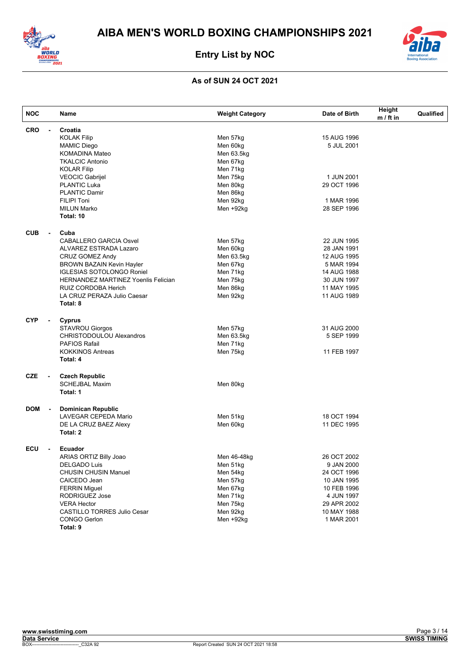



| <b>NOC</b>                             | Name                                           | <b>Weight Category</b> | Date of Birth | Height<br>$m / ft$ in | Qualified |
|----------------------------------------|------------------------------------------------|------------------------|---------------|-----------------------|-----------|
| <b>CRO</b><br>$\blacksquare$           | Croatia                                        |                        |               |                       |           |
|                                        | <b>KOLAK Filip</b>                             | Men 57kg               | 15 AUG 1996   |                       |           |
|                                        | <b>MAMIC Diego</b>                             | Men 60kg               | 5 JUL 2001    |                       |           |
|                                        | <b>KOMADINA Mateo</b>                          | Men 63.5kg             |               |                       |           |
|                                        | <b>TKALCIC Antonio</b>                         | Men 67kg               |               |                       |           |
|                                        | <b>KOLAR Filip</b>                             | Men 71kg               |               |                       |           |
|                                        | <b>VEOCIC Gabrijel</b>                         | Men 75kg               | 1 JUN 2001    |                       |           |
|                                        | <b>PLANTIC Luka</b>                            | Men 80kg               | 29 OCT 1996   |                       |           |
|                                        | <b>PLANTIC Damir</b>                           | Men 86kg               |               |                       |           |
|                                        | <b>FILIPI Toni</b>                             | Men 92kg               | 1 MAR 1996    |                       |           |
|                                        | <b>MILUN Marko</b>                             | Men +92kg              | 28 SEP 1996   |                       |           |
|                                        | Total: 10                                      |                        |               |                       |           |
| <b>CUB</b><br>$\blacksquare$           | Cuba                                           |                        |               |                       |           |
|                                        | <b>CABALLERO GARCIA Osvel</b>                  | Men 57kg               | 22 JUN 1995   |                       |           |
|                                        | ALVAREZ ESTRADA Lazaro                         | Men 60kg               | 28 JAN 1991   |                       |           |
|                                        | <b>CRUZ GOMEZ Andy</b>                         | Men 63.5kg             | 12 AUG 1995   |                       |           |
|                                        | <b>BROWN BAZAIN Kevin Hayler</b>               | Men 67kg               | 5 MAR 1994    |                       |           |
|                                        | <b>IGLESIAS SOTOLONGO Roniel</b>               | Men 71kg               | 14 AUG 1988   |                       |           |
|                                        | <b>HERNANDEZ MARTINEZ Yoenlis Felician</b>     | Men 75kg               | 30 JUN 1997   |                       |           |
|                                        | RUIZ CORDOBA Herich                            | Men 86kg               | 11 MAY 1995   |                       |           |
|                                        | LA CRUZ PERAZA Julio Caesar                    | Men 92kg               | 11 AUG 1989   |                       |           |
|                                        | Total: 8                                       |                        |               |                       |           |
| <b>CYP</b><br>$\overline{\phantom{a}}$ | Cyprus                                         |                        |               |                       |           |
|                                        | <b>STAVROU Giorgos</b>                         | Men 57kg               | 31 AUG 2000   |                       |           |
|                                        | <b>CHRISTODOULOU Alexandros</b>                | Men 63.5kg             | 5 SEP 1999    |                       |           |
|                                        | <b>PAFIOS Rafail</b>                           | Men 71kg               |               |                       |           |
|                                        | <b>KOKKINOS Antreas</b>                        | Men 75kg               | 11 FEB 1997   |                       |           |
|                                        | Total: 4                                       |                        |               |                       |           |
|                                        |                                                |                        |               |                       |           |
| <b>CZE</b><br>$\blacksquare$           | <b>Czech Republic</b><br><b>SCHEJBAL Maxim</b> | Men 80kg               |               |                       |           |
|                                        | Total: 1                                       |                        |               |                       |           |
| <b>DOM</b><br>$\overline{\phantom{a}}$ | <b>Dominican Republic</b>                      |                        |               |                       |           |
|                                        | LAVEGAR CEPEDA Mario                           | Men 51kg               | 18 OCT 1994   |                       |           |
|                                        | DE LA CRUZ BAEZ Alexy                          | Men 60kg               | 11 DEC 1995   |                       |           |
|                                        | Total: 2                                       |                        |               |                       |           |
|                                        |                                                |                        |               |                       |           |
| ECU<br>$\blacksquare$                  | Ecuador                                        |                        |               |                       |           |
|                                        | ARIAS ORTIZ Billy Joao                         | Men 46-48kg            | 26 OCT 2002   |                       |           |
|                                        | <b>DELGADO Luis</b>                            | Men 51kg               | 9 JAN 2000    |                       |           |
|                                        | <b>CHUSIN CHUSIN Manuel</b>                    | Men 54kg               | 24 OCT 1996   |                       |           |
|                                        | CAICEDO Jean                                   | Men 57kg               | 10 JAN 1995   |                       |           |
|                                        | <b>FERRIN Miguel</b>                           | Men 67kg               | 10 FEB 1996   |                       |           |
|                                        | RODRIGUEZ Jose                                 | Men 71kg               | 4 JUN 1997    |                       |           |
|                                        | <b>VERA Hector</b>                             | Men 75kg               | 29 APR 2002   |                       |           |
|                                        | <b>CASTILLO TORRES Julio Cesar</b>             | Men 92kg               | 10 MAY 1988   |                       |           |
|                                        | <b>CONGO Gerlon</b>                            | Men +92kg              | 1 MAR 2001    |                       |           |
|                                        | Total: 9                                       |                        |               |                       |           |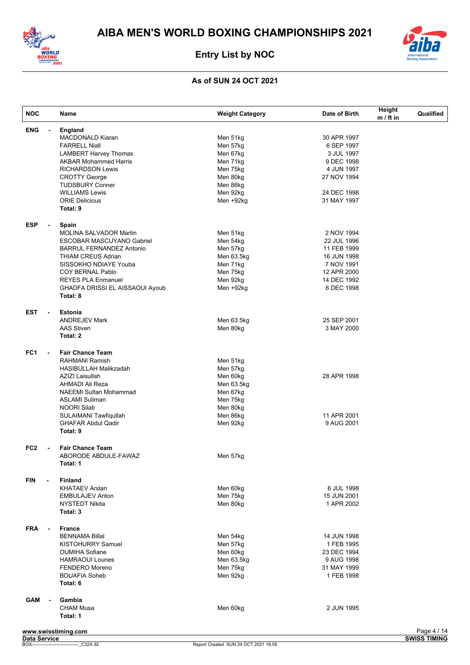



| <b>NOC</b>                             | Name                             | <b>Weight Category</b> | Date of Birth | Height<br>$m / ft$ in | Qualified   |
|----------------------------------------|----------------------------------|------------------------|---------------|-----------------------|-------------|
| <b>ENG</b><br>$\blacksquare$           | England                          |                        |               |                       |             |
|                                        | <b>MACDONALD Kiaran</b>          | Men 51kg               | 30 APR 1997   |                       |             |
|                                        | <b>FARRELL Niall</b>             | Men 57kg               | 6 SEP 1997    |                       |             |
|                                        | <b>LAMBERT Harvey Thomas</b>     | Men 67kg               | 3 JUL 1997    |                       |             |
|                                        | <b>AKBAR Mohammed Harris</b>     | Men 71kg               | 9 DEC 1998    |                       |             |
|                                        | <b>RICHARDSON Lewis</b>          | Men 75kg               | 4 JUN 1997    |                       |             |
|                                        | <b>CROTTY George</b>             | Men 80kg               | 27 NOV 1994   |                       |             |
|                                        | <b>TUDSBURY Conner</b>           | Men 86kg               |               |                       |             |
|                                        | <b>WILLIAMS Lewis</b>            | Men 92kg               | 24 DEC 1998   |                       |             |
|                                        | <b>ORIE Delicious</b>            | Men +92kg              | 31 MAY 1997   |                       |             |
|                                        | Total: 9                         |                        |               |                       |             |
| <b>ESP</b><br>$\overline{\phantom{a}}$ | Spain                            |                        |               |                       |             |
|                                        | <b>MOLINA SALVADOR Martin</b>    | Men 51kg               | 2 NOV 1994    |                       |             |
|                                        | <b>ESCOBAR MASCUYANO Gabriel</b> | Men 54kg               | 22 JUL 1996   |                       |             |
|                                        | <b>BARRUL FERNANDEZ Antonio</b>  | Men 57kg               | 11 FEB 1999   |                       |             |
|                                        | <b>THIAM CREUS Adrian</b>        | Men 63.5kg             | 16 JUN 1998   |                       |             |
|                                        | SISSOKHO NDIAYE Youba            | Men 71kg               | 7 NOV 1991    |                       |             |
|                                        | COY BERNAL Pablo                 | Men 75kg               | 12 APR 2000   |                       |             |
|                                        | <b>REYES PLA Enmanuel</b>        | Men 92kg               | 14 DEC 1992   |                       |             |
|                                        | GHADFA DRISSI EL AISSAOUI Ayoub  | Men +92kg              | 6 DEC 1998    |                       |             |
|                                        | Total: 8                         |                        |               |                       |             |
| <b>EST</b><br>$\overline{\phantom{a}}$ | <b>Estonia</b>                   |                        |               |                       |             |
|                                        | <b>ANDREJEV Mark</b>             | Men 63.5kg             | 25 SEP 2001   |                       |             |
|                                        | <b>AAS Stiven</b>                | Men 80kg               | 3 MAY 2000    |                       |             |
|                                        | Total: 2                         |                        |               |                       |             |
|                                        |                                  |                        |               |                       |             |
| FC1<br>$\blacksquare$                  | <b>Fair Chance Team</b>          |                        |               |                       |             |
|                                        | <b>RAHMANI Ramish</b>            | Men 51kg               |               |                       |             |
|                                        | HASIBULLAH Malikzadah            | Men 57kg               |               |                       |             |
|                                        | AZIZI Laisullah                  | Men 60kg               | 28 APR 1998   |                       |             |
|                                        | AHMADI Ali Reza                  | Men 63.5kg             |               |                       |             |
|                                        | <b>NAEEMI Sultan Mohammad</b>    | Men 67kg               |               |                       |             |
|                                        | <b>ASLAMI Suliman</b>            | Men 75kg               |               |                       |             |
|                                        | <b>NOORI Silab</b>               | Men 80kg               |               |                       |             |
|                                        | SULAIMANI Tawfiqullah            | Men 86kg               | 11 APR 2001   |                       |             |
|                                        | <b>GHAFAR Abdul Qadir</b>        | Men 92kg               | 9 AUG 2001    |                       |             |
|                                        | Total: 9                         |                        |               |                       |             |
| FC <sub>2</sub><br>$\blacksquare$      | <b>Fair Chance Team</b>          |                        |               |                       |             |
|                                        | ABORODE ABDULE-FAWAZ             | Men 57kg               |               |                       |             |
|                                        | Total: 1                         |                        |               |                       |             |
| <b>FIN</b>                             | <b>Finland</b>                   |                        |               |                       |             |
|                                        | <b>KHATAEV Arslan</b>            | Men 60kg               | 6 JUL 1998    |                       |             |
|                                        | <b>EMBULAJEV Anton</b>           | Men 75kg               | 15 JUN 2001   |                       |             |
|                                        | <b>NYSTEDT Nikita</b>            | Men 80kg               | 1 APR 2002    |                       |             |
|                                        | Total: 3                         |                        |               |                       |             |
| <b>FRA</b><br>$\blacksquare$           | <b>France</b>                    |                        |               |                       |             |
|                                        | <b>BENNAMA Billal</b>            | Men 54kg               | 14 JUN 1998   |                       |             |
|                                        | <b>KISTOHURRY Samuel</b>         | Men 57kg               | 1 FEB 1995    |                       |             |
|                                        | <b>OUMIHA Sofiane</b>            | Men 60kg               | 23 DEC 1994   |                       |             |
|                                        | <b>HAMRAOUI Lounes</b>           | Men 63.5kg             | 9 AUG 1998    |                       |             |
|                                        | <b>FENDERO</b> Moreno            | Men 75kg               | 31 MAY 1999   |                       |             |
|                                        | <b>BOUAFIA Soheb</b>             |                        |               |                       |             |
|                                        | Total: 6                         | Men 92kg               | 1 FEB 1998    |                       |             |
|                                        |                                  |                        |               |                       |             |
| <b>GAM</b>                             | Gambia<br><b>CHAM Musa</b>       | Men 60kg               | 2 JUN 1995    |                       |             |
|                                        | Total: 1                         |                        |               |                       |             |
|                                        |                                  |                        |               |                       |             |
|                                        | www.swisstiming.com              |                        |               |                       | Page 4 / 14 |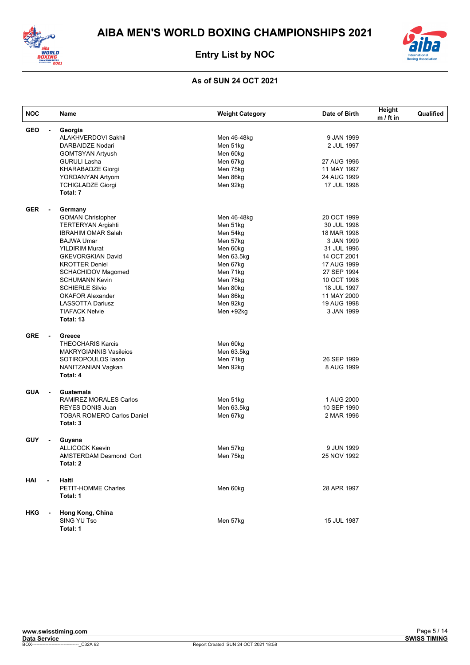



| <b>NOC</b> |                          | Name                              | <b>Weight Category</b> | Date of Birth | Height<br>$m / ft$ in | Qualified |
|------------|--------------------------|-----------------------------------|------------------------|---------------|-----------------------|-----------|
| <b>GEO</b> | $\overline{\phantom{a}}$ | Georgia                           |                        |               |                       |           |
|            |                          | ALAKHVERDOVI Sakhil               | Men 46-48kg            | 9 JAN 1999    |                       |           |
|            |                          | DARBAIDZE Nodari                  | Men 51kg               | 2 JUL 1997    |                       |           |
|            |                          | <b>GOMTSYAN Artyush</b>           | Men 60kg               |               |                       |           |
|            |                          | <b>GURULI Lasha</b>               | Men 67kg               | 27 AUG 1996   |                       |           |
|            |                          | <b>KHARABADZE Giorgi</b>          | Men 75kg               | 11 MAY 1997   |                       |           |
|            |                          | YORDANYAN Artyom                  | Men 86kg               | 24 AUG 1999   |                       |           |
|            |                          | <b>TCHIGLADZE Giorgi</b>          | Men 92kg               | 17 JUL 1998   |                       |           |
|            |                          | Total: 7                          |                        |               |                       |           |
| <b>GER</b> | $\blacksquare$           | Germany                           |                        |               |                       |           |
|            |                          | <b>GOMAN Christopher</b>          | Men 46-48kg            | 20 OCT 1999   |                       |           |
|            |                          | <b>TERTERYAN Argishti</b>         | Men 51kg               | 30 JUL 1998   |                       |           |
|            |                          | <b>IBRAHIM OMAR Salah</b>         | Men 54kg               | 18 MAR 1998   |                       |           |
|            |                          | <b>BAJWA Umar</b>                 | Men 57kg               | 3 JAN 1999    |                       |           |
|            |                          | <b>YILDIRIM Murat</b>             | Men 60kg               | 31 JUL 1996   |                       |           |
|            |                          | <b>GKEVORGKIAN David</b>          | Men 63.5kg             | 14 OCT 2001   |                       |           |
|            |                          | <b>KROTTER Deniel</b>             | Men 67kg               | 17 AUG 1999   |                       |           |
|            |                          | <b>SCHACHIDOV Magomed</b>         | Men 71kg               | 27 SEP 1994   |                       |           |
|            |                          | <b>SCHUMANN Kevin</b>             | Men 75kg               | 10 OCT 1998   |                       |           |
|            |                          | <b>SCHIERLE Silvio</b>            | Men 80kg               | 18 JUL 1997   |                       |           |
|            |                          | <b>OKAFOR Alexander</b>           | Men 86kg               | 11 MAY 2000   |                       |           |
|            |                          | <b>LASSOTTA Dariusz</b>           | Men 92kg               | 19 AUG 1998   |                       |           |
|            |                          | <b>TIAFACK Nelvie</b>             | Men +92kg              | 3 JAN 1999    |                       |           |
|            |                          | Total: 13                         |                        |               |                       |           |
| <b>GRE</b> | $\blacksquare$           | Greece                            |                        |               |                       |           |
|            |                          | <b>THEOCHARIS Karcis</b>          | Men 60kg               |               |                       |           |
|            |                          | <b>MAKRYGIANNIS Vasileios</b>     | Men 63.5kg             |               |                       |           |
|            |                          | SOTIROPOULOS lason                | Men 71kg               | 26 SEP 1999   |                       |           |
|            |                          | NANITZANIAN Vagkan                | Men 92kg               | 8 AUG 1999    |                       |           |
|            |                          | Total: 4                          |                        |               |                       |           |
| <b>GUA</b> | $\blacksquare$           | Guatemala                         |                        |               |                       |           |
|            |                          | RAMIREZ MORALES Carlos            | Men 51kg               | 1 AUG 2000    |                       |           |
|            |                          | <b>REYES DONIS Juan</b>           | Men 63.5kg             | 10 SEP 1990   |                       |           |
|            |                          | <b>TOBAR ROMERO Carlos Daniel</b> | Men 67kg               | 2 MAR 1996    |                       |           |
|            |                          | Total: 3                          |                        |               |                       |           |
| <b>GUY</b> | $\blacksquare$           | Guyana                            |                        |               |                       |           |
|            |                          | <b>ALLICOCK Keevin</b>            | Men 57kg               | 9 JUN 1999    |                       |           |
|            |                          | <b>AMSTERDAM Desmond Cort</b>     | Men 75kg               | 25 NOV 1992   |                       |           |
|            |                          | Total: 2                          |                        |               |                       |           |
| HAI        |                          | Haiti                             |                        |               |                       |           |
|            |                          | <b>PETIT-HOMME Charles</b>        | Men 60kg               | 28 APR 1997   |                       |           |
|            |                          | Total: 1                          |                        |               |                       |           |
| <b>HKG</b> |                          | Hong Kong, China                  |                        |               |                       |           |
|            |                          | SING YU Tso                       | Men 57kg               | 15 JUL 1987   |                       |           |
|            |                          | Total: 1                          |                        |               |                       |           |
|            |                          |                                   |                        |               |                       |           |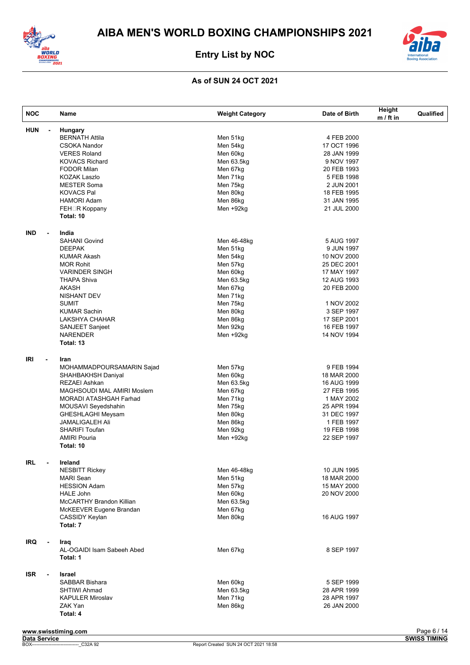



| <b>HUN</b><br>$\blacksquare$<br><b>IND</b><br>$\blacksquare$<br>IRI<br>$\overline{\phantom{a}}$<br>IRL<br>$\blacksquare$ | Hungary<br><b>BERNATH Attila</b><br><b>CSOKA Nandor</b><br><b>VERES Roland</b><br><b>KOVACS Richard</b><br><b>FODOR Milan</b><br>KOZAK Laszlo<br><b>MESTER Soma</b><br><b>KOVACS Pal</b><br><b>HAMORI Adam</b><br><b>FEH</b> □R Koppany<br>Total: 10<br>India<br><b>SAHANI Govind</b><br><b>DEEPAK</b><br><b>KUMAR Akash</b><br><b>MOR Rohit</b><br><b>VARINDER SINGH</b><br><b>THAPA Shiva</b><br><b>AKASH</b><br>NISHANT DEV<br><b>SUMIT</b><br><b>KUMAR Sachin</b><br>LAKSHYA CHAHAR | Men 51kg<br>Men 54kg<br>Men 60kg<br>Men 63.5kg<br>Men 67kg<br>Men 71kg<br>Men 75kg<br>Men 80kg<br>Men 86kg<br>Men +92kg<br>Men 46-48kg<br>Men 51kg<br>Men 54kg<br>Men 57kg<br>Men 60kg<br>Men 63.5kg | 4 FEB 2000<br>17 OCT 1996<br>28 JAN 1999<br>9 NOV 1997<br>20 FEB 1993<br>5 FEB 1998<br>2 JUN 2001<br>18 FEB 1995<br>31 JAN 1995<br>21 JUL 2000<br>5 AUG 1997<br>9 JUN 1997<br>10 NOV 2000<br>25 DEC 2001<br>17 MAY 1997 |  |
|--------------------------------------------------------------------------------------------------------------------------|-----------------------------------------------------------------------------------------------------------------------------------------------------------------------------------------------------------------------------------------------------------------------------------------------------------------------------------------------------------------------------------------------------------------------------------------------------------------------------------------|------------------------------------------------------------------------------------------------------------------------------------------------------------------------------------------------------|-------------------------------------------------------------------------------------------------------------------------------------------------------------------------------------------------------------------------|--|
|                                                                                                                          |                                                                                                                                                                                                                                                                                                                                                                                                                                                                                         |                                                                                                                                                                                                      |                                                                                                                                                                                                                         |  |
|                                                                                                                          |                                                                                                                                                                                                                                                                                                                                                                                                                                                                                         |                                                                                                                                                                                                      |                                                                                                                                                                                                                         |  |
|                                                                                                                          |                                                                                                                                                                                                                                                                                                                                                                                                                                                                                         |                                                                                                                                                                                                      |                                                                                                                                                                                                                         |  |
|                                                                                                                          |                                                                                                                                                                                                                                                                                                                                                                                                                                                                                         |                                                                                                                                                                                                      |                                                                                                                                                                                                                         |  |
|                                                                                                                          |                                                                                                                                                                                                                                                                                                                                                                                                                                                                                         |                                                                                                                                                                                                      |                                                                                                                                                                                                                         |  |
|                                                                                                                          |                                                                                                                                                                                                                                                                                                                                                                                                                                                                                         |                                                                                                                                                                                                      |                                                                                                                                                                                                                         |  |
|                                                                                                                          |                                                                                                                                                                                                                                                                                                                                                                                                                                                                                         |                                                                                                                                                                                                      |                                                                                                                                                                                                                         |  |
|                                                                                                                          |                                                                                                                                                                                                                                                                                                                                                                                                                                                                                         |                                                                                                                                                                                                      |                                                                                                                                                                                                                         |  |
|                                                                                                                          |                                                                                                                                                                                                                                                                                                                                                                                                                                                                                         |                                                                                                                                                                                                      |                                                                                                                                                                                                                         |  |
|                                                                                                                          |                                                                                                                                                                                                                                                                                                                                                                                                                                                                                         |                                                                                                                                                                                                      |                                                                                                                                                                                                                         |  |
|                                                                                                                          |                                                                                                                                                                                                                                                                                                                                                                                                                                                                                         |                                                                                                                                                                                                      |                                                                                                                                                                                                                         |  |
|                                                                                                                          |                                                                                                                                                                                                                                                                                                                                                                                                                                                                                         |                                                                                                                                                                                                      |                                                                                                                                                                                                                         |  |
|                                                                                                                          |                                                                                                                                                                                                                                                                                                                                                                                                                                                                                         |                                                                                                                                                                                                      |                                                                                                                                                                                                                         |  |
|                                                                                                                          |                                                                                                                                                                                                                                                                                                                                                                                                                                                                                         |                                                                                                                                                                                                      |                                                                                                                                                                                                                         |  |
|                                                                                                                          |                                                                                                                                                                                                                                                                                                                                                                                                                                                                                         |                                                                                                                                                                                                      |                                                                                                                                                                                                                         |  |
|                                                                                                                          |                                                                                                                                                                                                                                                                                                                                                                                                                                                                                         |                                                                                                                                                                                                      |                                                                                                                                                                                                                         |  |
|                                                                                                                          |                                                                                                                                                                                                                                                                                                                                                                                                                                                                                         |                                                                                                                                                                                                      |                                                                                                                                                                                                                         |  |
|                                                                                                                          |                                                                                                                                                                                                                                                                                                                                                                                                                                                                                         |                                                                                                                                                                                                      |                                                                                                                                                                                                                         |  |
|                                                                                                                          |                                                                                                                                                                                                                                                                                                                                                                                                                                                                                         |                                                                                                                                                                                                      |                                                                                                                                                                                                                         |  |
|                                                                                                                          |                                                                                                                                                                                                                                                                                                                                                                                                                                                                                         |                                                                                                                                                                                                      | 12 AUG 1993                                                                                                                                                                                                             |  |
|                                                                                                                          |                                                                                                                                                                                                                                                                                                                                                                                                                                                                                         |                                                                                                                                                                                                      |                                                                                                                                                                                                                         |  |
|                                                                                                                          |                                                                                                                                                                                                                                                                                                                                                                                                                                                                                         | Men 67kg                                                                                                                                                                                             | 20 FEB 2000                                                                                                                                                                                                             |  |
|                                                                                                                          |                                                                                                                                                                                                                                                                                                                                                                                                                                                                                         | Men 71kg                                                                                                                                                                                             |                                                                                                                                                                                                                         |  |
|                                                                                                                          |                                                                                                                                                                                                                                                                                                                                                                                                                                                                                         | Men 75kg                                                                                                                                                                                             | 1 NOV 2002                                                                                                                                                                                                              |  |
|                                                                                                                          |                                                                                                                                                                                                                                                                                                                                                                                                                                                                                         | Men 80kg                                                                                                                                                                                             | 3 SEP 1997                                                                                                                                                                                                              |  |
|                                                                                                                          |                                                                                                                                                                                                                                                                                                                                                                                                                                                                                         | Men 86kg                                                                                                                                                                                             | 17 SEP 2001                                                                                                                                                                                                             |  |
|                                                                                                                          | SANJEET Sanjeet                                                                                                                                                                                                                                                                                                                                                                                                                                                                         | Men 92kg                                                                                                                                                                                             | 16 FEB 1997                                                                                                                                                                                                             |  |
|                                                                                                                          | <b>NARENDER</b>                                                                                                                                                                                                                                                                                                                                                                                                                                                                         | Men +92kg                                                                                                                                                                                            | 14 NOV 1994                                                                                                                                                                                                             |  |
|                                                                                                                          | Total: 13                                                                                                                                                                                                                                                                                                                                                                                                                                                                               |                                                                                                                                                                                                      |                                                                                                                                                                                                                         |  |
|                                                                                                                          | Iran                                                                                                                                                                                                                                                                                                                                                                                                                                                                                    |                                                                                                                                                                                                      |                                                                                                                                                                                                                         |  |
|                                                                                                                          | MOHAMMADPOURSAMARIN Sajad                                                                                                                                                                                                                                                                                                                                                                                                                                                               | Men 57kg                                                                                                                                                                                             | 9 FEB 1994                                                                                                                                                                                                              |  |
|                                                                                                                          | SHAHBAKHSH Daniyal                                                                                                                                                                                                                                                                                                                                                                                                                                                                      | Men 60kg                                                                                                                                                                                             | 18 MAR 2000                                                                                                                                                                                                             |  |
|                                                                                                                          | <b>REZAEI Ashkan</b>                                                                                                                                                                                                                                                                                                                                                                                                                                                                    | Men 63.5kg                                                                                                                                                                                           | 16 AUG 1999                                                                                                                                                                                                             |  |
|                                                                                                                          |                                                                                                                                                                                                                                                                                                                                                                                                                                                                                         |                                                                                                                                                                                                      |                                                                                                                                                                                                                         |  |
|                                                                                                                          | MAGHSOUDI MAL AMIRI Moslem                                                                                                                                                                                                                                                                                                                                                                                                                                                              | Men 67kg                                                                                                                                                                                             | 27 FEB 1995                                                                                                                                                                                                             |  |
|                                                                                                                          | MORADI ATASHGAH Farhad                                                                                                                                                                                                                                                                                                                                                                                                                                                                  | Men 71kg                                                                                                                                                                                             | 1 MAY 2002                                                                                                                                                                                                              |  |
|                                                                                                                          | MOUSAVI Seyedshahin                                                                                                                                                                                                                                                                                                                                                                                                                                                                     | Men 75kg                                                                                                                                                                                             | 25 APR 1994                                                                                                                                                                                                             |  |
|                                                                                                                          | <b>GHESHLAGHI Meysam</b>                                                                                                                                                                                                                                                                                                                                                                                                                                                                | Men 80kg                                                                                                                                                                                             | 31 DEC 1997                                                                                                                                                                                                             |  |
|                                                                                                                          | <b>JAMALIGALEH Ali</b>                                                                                                                                                                                                                                                                                                                                                                                                                                                                  | Men 86kg                                                                                                                                                                                             | 1 FEB 1997                                                                                                                                                                                                              |  |
|                                                                                                                          | <b>SHARIFI Toufan</b>                                                                                                                                                                                                                                                                                                                                                                                                                                                                   | Men 92kg                                                                                                                                                                                             | 19 FEB 1998                                                                                                                                                                                                             |  |
|                                                                                                                          | <b>AMIRI Pouria</b>                                                                                                                                                                                                                                                                                                                                                                                                                                                                     | Men +92kg                                                                                                                                                                                            | 22 SEP 1997                                                                                                                                                                                                             |  |
|                                                                                                                          | Total: 10                                                                                                                                                                                                                                                                                                                                                                                                                                                                               |                                                                                                                                                                                                      |                                                                                                                                                                                                                         |  |
|                                                                                                                          | Ireland                                                                                                                                                                                                                                                                                                                                                                                                                                                                                 |                                                                                                                                                                                                      |                                                                                                                                                                                                                         |  |
|                                                                                                                          | <b>NESBITT Rickey</b>                                                                                                                                                                                                                                                                                                                                                                                                                                                                   | Men 46-48kg                                                                                                                                                                                          | 10 JUN 1995                                                                                                                                                                                                             |  |
|                                                                                                                          |                                                                                                                                                                                                                                                                                                                                                                                                                                                                                         |                                                                                                                                                                                                      |                                                                                                                                                                                                                         |  |
|                                                                                                                          | <b>MARI Sean</b>                                                                                                                                                                                                                                                                                                                                                                                                                                                                        | Men 51kg                                                                                                                                                                                             | 18 MAR 2000                                                                                                                                                                                                             |  |
|                                                                                                                          | <b>HESSION Adam</b>                                                                                                                                                                                                                                                                                                                                                                                                                                                                     | Men 57kg                                                                                                                                                                                             | 15 MAY 2000                                                                                                                                                                                                             |  |
|                                                                                                                          | <b>HALE John</b>                                                                                                                                                                                                                                                                                                                                                                                                                                                                        | Men 60kg                                                                                                                                                                                             | 20 NOV 2000                                                                                                                                                                                                             |  |
|                                                                                                                          | McCARTHY Brandon Killian                                                                                                                                                                                                                                                                                                                                                                                                                                                                | Men 63.5kg                                                                                                                                                                                           |                                                                                                                                                                                                                         |  |
|                                                                                                                          | McKEEVER Eugene Brandan                                                                                                                                                                                                                                                                                                                                                                                                                                                                 | Men 67kg                                                                                                                                                                                             |                                                                                                                                                                                                                         |  |
|                                                                                                                          | CASSIDY Keylan                                                                                                                                                                                                                                                                                                                                                                                                                                                                          | Men 80kg                                                                                                                                                                                             | 16 AUG 1997                                                                                                                                                                                                             |  |
|                                                                                                                          | Total: 7                                                                                                                                                                                                                                                                                                                                                                                                                                                                                |                                                                                                                                                                                                      |                                                                                                                                                                                                                         |  |
| <b>IRQ</b><br>$\blacksquare$                                                                                             | Iraq                                                                                                                                                                                                                                                                                                                                                                                                                                                                                    |                                                                                                                                                                                                      |                                                                                                                                                                                                                         |  |
|                                                                                                                          | AL-OGAIDI Isam Sabeeh Abed                                                                                                                                                                                                                                                                                                                                                                                                                                                              | Men 67kg                                                                                                                                                                                             | 8 SEP 1997                                                                                                                                                                                                              |  |
|                                                                                                                          | Total: 1                                                                                                                                                                                                                                                                                                                                                                                                                                                                                |                                                                                                                                                                                                      |                                                                                                                                                                                                                         |  |
| <b>ISR</b><br>$\blacksquare$                                                                                             | Israel                                                                                                                                                                                                                                                                                                                                                                                                                                                                                  |                                                                                                                                                                                                      |                                                                                                                                                                                                                         |  |
|                                                                                                                          | SABBAR Bishara                                                                                                                                                                                                                                                                                                                                                                                                                                                                          | Men 60kg                                                                                                                                                                                             | 5 SEP 1999                                                                                                                                                                                                              |  |
|                                                                                                                          |                                                                                                                                                                                                                                                                                                                                                                                                                                                                                         | Men 63.5kg                                                                                                                                                                                           | 28 APR 1999                                                                                                                                                                                                             |  |
|                                                                                                                          | <b>SHTIWI Ahmad</b>                                                                                                                                                                                                                                                                                                                                                                                                                                                                     | Men 71kg                                                                                                                                                                                             | 28 APR 1997                                                                                                                                                                                                             |  |
|                                                                                                                          | <b>KAPULER Miroslav</b>                                                                                                                                                                                                                                                                                                                                                                                                                                                                 | Men 86kg                                                                                                                                                                                             | 26 JAN 2000                                                                                                                                                                                                             |  |
|                                                                                                                          |                                                                                                                                                                                                                                                                                                                                                                                                                                                                                         |                                                                                                                                                                                                      |                                                                                                                                                                                                                         |  |
|                                                                                                                          | ZAK Yan<br>Total: 4                                                                                                                                                                                                                                                                                                                                                                                                                                                                     |                                                                                                                                                                                                      |                                                                                                                                                                                                                         |  |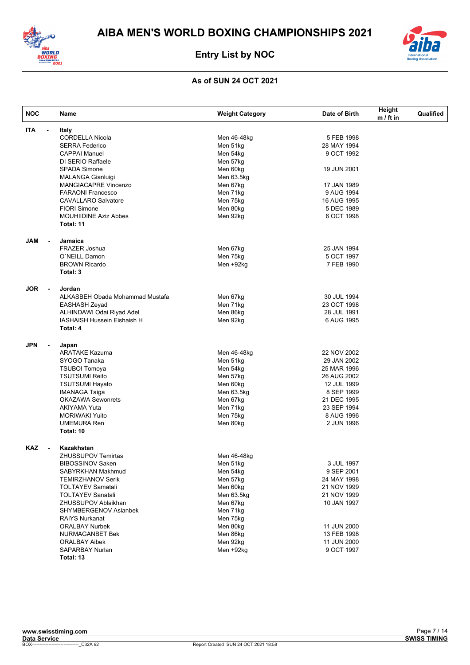



| <b>NOC</b>                   | Name                            | <b>Weight Category</b> | Date of Birth | Height<br>$m / ft$ in | Qualified |
|------------------------------|---------------------------------|------------------------|---------------|-----------------------|-----------|
| <b>ITA</b><br>$\blacksquare$ | Italy                           |                        |               |                       |           |
|                              | <b>CORDELLA Nicola</b>          | Men 46-48kg            | 5 FEB 1998    |                       |           |
|                              | <b>SERRA Federico</b>           | Men 51kg               | 28 MAY 1994   |                       |           |
|                              | <b>CAPPAI Manuel</b>            | Men 54kg               | 9 OCT 1992    |                       |           |
|                              | DI SERIO Raffaele               | Men 57kg               |               |                       |           |
|                              | <b>SPADA Simone</b>             | Men 60kg               | 19 JUN 2001   |                       |           |
|                              | <b>MALANGA Gianluigi</b>        | Men 63.5kg             |               |                       |           |
|                              | MANGIACAPRE Vincenzo            | Men 67kg               | 17 JAN 1989   |                       |           |
|                              | <b>FARAONI Francesco</b>        | Men 71kg               | 9 AUG 1994    |                       |           |
|                              | <b>CAVALLARO Salvatore</b>      | Men 75kg               | 16 AUG 1995   |                       |           |
|                              | <b>FIORI Simone</b>             | Men 80kg               | 5 DEC 1989    |                       |           |
|                              | <b>MOUHIIDINE Aziz Abbes</b>    | Men 92kg               | 6 OCT 1998    |                       |           |
|                              | Total: 11                       |                        |               |                       |           |
| <b>JAM</b>                   | Jamaica                         |                        |               |                       |           |
|                              | <b>FRAZER Joshua</b>            | Men 67kg               | 25 JAN 1994   |                       |           |
|                              | O'NEILL Damon                   | Men 75kg               | 5 OCT 1997    |                       |           |
|                              | <b>BROWN Ricardo</b>            | Men +92kg              | 7 FEB 1990    |                       |           |
|                              | Total: 3                        |                        |               |                       |           |
| <b>JOR</b><br>$\blacksquare$ | Jordan                          |                        |               |                       |           |
|                              | ALKASBEH Obada Mohammad Mustafa | Men 67kg               | 30 JUL 1994   |                       |           |
|                              | EASHASH Zeyad                   | Men 71kg               | 23 OCT 1998   |                       |           |
|                              | ALHINDAWI Odai Riyad Adel       | Men 86kg               | 28 JUL 1991   |                       |           |
|                              | IASHAISH Hussein Eishaish H     | Men 92kg               | 6 AUG 1995    |                       |           |
|                              | Total: 4                        |                        |               |                       |           |
| <b>JPN</b><br>$\blacksquare$ | Japan                           |                        |               |                       |           |
|                              | <b>ARATAKE Kazuma</b>           | Men 46-48kg            | 22 NOV 2002   |                       |           |
|                              | SYOGO Tanaka                    | Men 51kg               | 29 JAN 2002   |                       |           |
|                              | <b>TSUBOI Tomoya</b>            | Men 54kg               | 25 MAR 1996   |                       |           |
|                              | <b>TSUTSUMI Reito</b>           | Men 57kg               | 26 AUG 2002   |                       |           |
|                              | <b>TSUTSUMI Hayato</b>          | Men 60kg               | 12 JUL 1999   |                       |           |
|                              | <b>IMANAGA Taiga</b>            | Men 63.5kg             | 8 SEP 1999    |                       |           |
|                              | <b>OKAZAWA Sewonrets</b>        | Men 67kg               | 21 DEC 1995   |                       |           |
|                              | AKIYAMA Yuta                    | Men 71kg               | 23 SEP 1994   |                       |           |
|                              | <b>MORIWAKI Yuito</b>           | Men 75kg               | 8 AUG 1996    |                       |           |
|                              | <b>UMEMURA Ren</b>              | Men 80kg               | 2 JUN 1996    |                       |           |
|                              | Total: 10                       |                        |               |                       |           |
| <b>KAZ</b><br>$\blacksquare$ | Kazakhstan                      |                        |               |                       |           |
|                              | <b>ZHUSSUPOV Temirtas</b>       | Men 46-48kg            |               |                       |           |
|                              | <b>BIBOSSINOV Saken</b>         | Men 51kg               | 3 JUL 1997    |                       |           |
|                              | SABYRKHAN Makhmud               | Men 54kg               | 9 SEP 2001    |                       |           |
|                              | <b>TEMIRZHANOV Serik</b>        | Men 57kg               | 24 MAY 1998   |                       |           |
|                              | <b>TOLTAYEV Samatali</b>        | Men 60kg               | 21 NOV 1999   |                       |           |
|                              | <b>TOLTAYEV Sanatali</b>        | Men 63.5kg             | 21 NOV 1999   |                       |           |
|                              | ZHUSSUPOV Ablaikhan             | Men 67kg               | 10 JAN 1997   |                       |           |
|                              | SHYMBERGENOV Aslanbek           | Men 71kg               |               |                       |           |
|                              |                                 |                        |               |                       |           |
|                              | <b>RAIYS Nurkanat</b>           | Men 75kg               |               |                       |           |
|                              | <b>ORALBAY Nurbek</b>           | Men 80kg               | 11 JUN 2000   |                       |           |
|                              | NURMAGANBET Bek                 | Men 86kg               | 13 FEB 1998   |                       |           |
|                              | <b>ORALBAY Aibek</b>            | Men 92kg               | 11 JUN 2000   |                       |           |
|                              | SAPARBAY Nurlan                 | Men +92kg              | 9 OCT 1997    |                       |           |
|                              | Total: 13                       |                        |               |                       |           |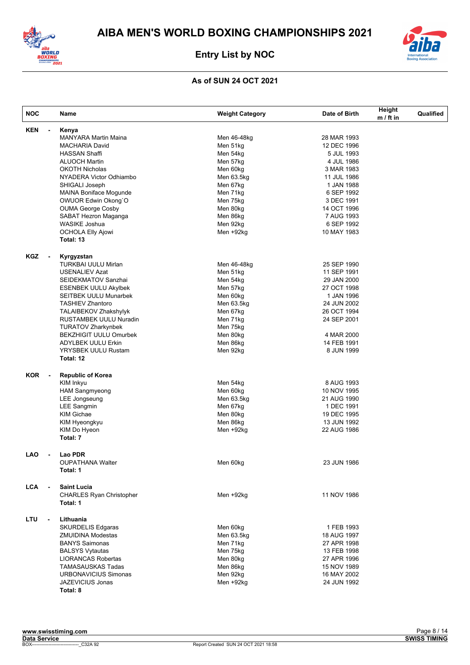



| <b>NOC</b> |                          | Name                             | <b>Weight Category</b> | Date of Birth | Height<br>$m / ft$ in | Qualified |
|------------|--------------------------|----------------------------------|------------------------|---------------|-----------------------|-----------|
| <b>KEN</b> | $\blacksquare$           | Kenya                            |                        |               |                       |           |
|            |                          | <b>MANYARA Martin Maina</b>      | Men 46-48kg            | 28 MAR 1993   |                       |           |
|            |                          | <b>MACHARIA David</b>            | Men 51kg               | 12 DEC 1996   |                       |           |
|            |                          | <b>HASSAN Shaffi</b>             | Men 54kg               | 5 JUL 1993    |                       |           |
|            |                          | <b>ALUOCH Martin</b>             | Men 57kg               | 4 JUL 1986    |                       |           |
|            |                          | <b>OKOTH Nicholas</b>            | Men 60kg               | 3 MAR 1983    |                       |           |
|            |                          | NYADERA Victor Odhiambo          | Men 63.5kg             | 11 JUL 1986   |                       |           |
|            |                          | SHIGALI Joseph                   | Men 67kg               | 1 JAN 1988    |                       |           |
|            |                          | MAINA Boniface Mogunde           | Men 71kg               | 6 SEP 1992    |                       |           |
|            |                          | OWUOR Edwin Okong`O              | Men 75kg               | 3 DEC 1991    |                       |           |
|            |                          | <b>OUMA George Cosby</b>         | Men 80kg               | 14 OCT 1996   |                       |           |
|            |                          | SABAT Hezron Maganga             | Men 86kg               | 7 AUG 1993    |                       |           |
|            |                          | <b>WASIKE Joshua</b>             | Men 92kg               | 6 SEP 1992    |                       |           |
|            |                          | <b>OCHOLA Elly Ajowi</b>         | Men +92kg              | 10 MAY 1983   |                       |           |
|            |                          | Total: 13                        |                        |               |                       |           |
| KGZ        | $\overline{\phantom{a}}$ | Kyrgyzstan                       |                        |               |                       |           |
|            |                          | TURKBAI UULU Mirlan              | Men 46-48kg            | 25 SEP 1990   |                       |           |
|            |                          | <b>USENALIEV Azat</b>            | Men 51kg               | 11 SEP 1991   |                       |           |
|            |                          | SEIDEKMATOV Sanzhai              | Men 54kg               | 29 JAN 2000   |                       |           |
|            |                          |                                  | Men 57kg               | 27 OCT 1998   |                       |           |
|            |                          | <b>ESENBEK UULU Akylbek</b>      | Men 60kg               |               |                       |           |
|            |                          | <b>SEITBEK UULU Munarbek</b>     |                        | 1 JAN 1996    |                       |           |
|            |                          | <b>TASHIEV Zhantoro</b>          | Men 63.5kg             | 24 JUN 2002   |                       |           |
|            |                          | TALAIBEKOV Zhakshylyk            | Men 67kg               | 26 OCT 1994   |                       |           |
|            |                          | RUSTAMBEK UULU Nuradin           | Men 71kg               | 24 SEP 2001   |                       |           |
|            |                          | <b>TURATOV Zharkynbek</b>        | Men 75kg               |               |                       |           |
|            |                          | <b>BEKZHIGIT UULU Omurbek</b>    | Men 80kg               | 4 MAR 2000    |                       |           |
|            |                          | <b>ADYLBEK UULU Erkin</b>        | Men 86kg               | 14 FEB 1991   |                       |           |
|            |                          | YRYSBEK UULU Rustam<br>Total: 12 | Men 92kg               | 8 JUN 1999    |                       |           |
|            |                          |                                  |                        |               |                       |           |
| <b>KOR</b> | $\overline{\phantom{a}}$ | <b>Republic of Korea</b>         |                        |               |                       |           |
|            |                          | KIM Inkyu                        | Men 54kg               | 8 AUG 1993    |                       |           |
|            |                          | <b>HAM Sangmyeong</b>            | Men 60kg               | 10 NOV 1995   |                       |           |
|            |                          | LEE Jongseung                    | Men 63.5kg             | 21 AUG 1990   |                       |           |
|            |                          | LEE Sangmin                      | Men 67kg               | 1 DEC 1991    |                       |           |
|            |                          | <b>KIM Gichae</b>                | Men 80kg               | 19 DEC 1995   |                       |           |
|            |                          | KIM Hyeongkyu                    | Men 86kg               | 13 JUN 1992   |                       |           |
|            |                          | KIM Do Hyeon                     | Men +92kg              | 22 AUG 1986   |                       |           |
|            |                          | Total: 7                         |                        |               |                       |           |
| <b>LAO</b> |                          | Lao PDR                          |                        |               |                       |           |
|            |                          | <b>OUPATHANA Walter</b>          | Men 60kg               | 23 JUN 1986   |                       |           |
|            |                          | Total: 1                         |                        |               |                       |           |
| LCA        |                          | <b>Saint Lucia</b>               |                        |               |                       |           |
|            |                          | <b>CHARLES Ryan Christopher</b>  | Men +92kg              | 11 NOV 1986   |                       |           |
|            |                          | Total: 1                         |                        |               |                       |           |
| LTU        | $\overline{a}$           | Lithuania                        |                        |               |                       |           |
|            |                          | <b>SKURDELIS Edgaras</b>         | Men 60kg               | 1 FEB 1993    |                       |           |
|            |                          | <b>ZMUIDINA Modestas</b>         | Men 63.5kg             | 18 AUG 1997   |                       |           |
|            |                          | <b>BANYS Saimonas</b>            | Men 71kg               | 27 APR 1998   |                       |           |
|            |                          | <b>BALSYS Vytautas</b>           | Men 75kg               | 13 FEB 1998   |                       |           |
|            |                          | <b>LIORANCAS Robertas</b>        | Men 80kg               | 27 APR 1996   |                       |           |
|            |                          | <b>TAMASAUSKAS Tadas</b>         | Men 86kg               | 15 NOV 1989   |                       |           |
|            |                          | <b>URBONAVICIUS Simonas</b>      | Men 92kg               | 16 MAY 2002   |                       |           |
|            |                          | JAZEVICIUS Jonas                 | Men +92kg              | 24 JUN 1992   |                       |           |
|            |                          | Total: 8                         |                        |               |                       |           |
|            |                          |                                  |                        |               |                       |           |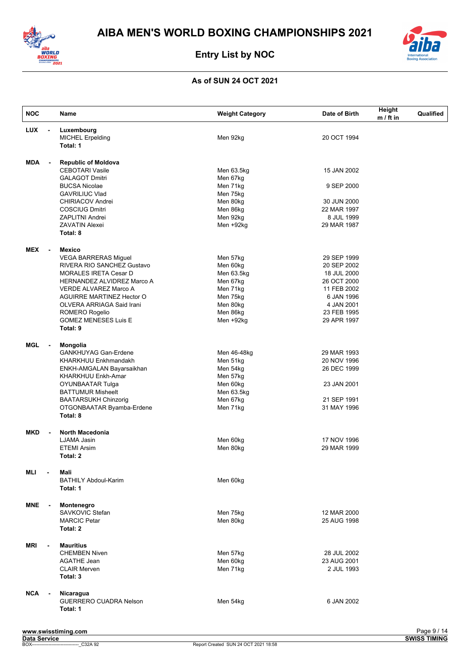



| <b>NOC</b> |                          | Name                                                   | <b>Weight Category</b> | Date of Birth              | Height<br>$m / ft$ in | Qualified |
|------------|--------------------------|--------------------------------------------------------|------------------------|----------------------------|-----------------------|-----------|
| <b>LUX</b> | $\blacksquare$           | Luxembourg                                             |                        |                            |                       |           |
|            |                          | <b>MICHEL Erpelding</b>                                | Men 92kg               | 20 OCT 1994                |                       |           |
|            |                          | Total: 1                                               |                        |                            |                       |           |
| <b>MDA</b> |                          | <b>Republic of Moldova</b>                             |                        |                            |                       |           |
|            |                          | <b>CEBOTARI Vasile</b>                                 | Men 63.5kg             | 15 JAN 2002                |                       |           |
|            |                          | <b>GALAGOT Dmitri</b>                                  | Men 67kg               |                            |                       |           |
|            |                          | <b>BUCSA Nicolae</b>                                   | Men 71kg               | 9 SEP 2000                 |                       |           |
|            |                          | <b>GAVRILIUC Vlad</b>                                  | Men 75kg               |                            |                       |           |
|            |                          | <b>CHIRIACOV Andrei</b>                                | Men 80kg               | 30 JUN 2000                |                       |           |
|            |                          | <b>COSCIUG Dmitri</b>                                  | Men 86kg               | 22 MAR 1997                |                       |           |
|            |                          | ZAPLITNI Andrei                                        | Men 92kg               | 8 JUL 1999                 |                       |           |
|            |                          | <b>ZAVATIN Alexei</b><br>Total: 8                      | Men +92kg              | 29 MAR 1987                |                       |           |
|            |                          |                                                        |                        |                            |                       |           |
| <b>MEX</b> | $\blacksquare$           | Mexico                                                 |                        |                            |                       |           |
|            |                          | <b>VEGA BARRERAS Miguel</b>                            | Men 57kg               | 29 SEP 1999                |                       |           |
|            |                          | RIVERA RIO SANCHEZ Gustavo                             | Men 60kg               | 20 SEP 2002                |                       |           |
|            |                          | <b>MORALES IRETA Cesar D</b>                           | Men 63.5kg             | 18 JUL 2000                |                       |           |
|            |                          | HERNANDEZ ALVIDREZ Marco A                             | Men 67kg               | 26 OCT 2000                |                       |           |
|            |                          | VERDE ALVAREZ Marco A<br>AGUIRRE MARTINEZ Hector O     | Men 71kg               | 11 FEB 2002                |                       |           |
|            |                          | OLVERA ARRIAGA Said Irani                              | Men 75kg<br>Men 80kg   | 6 JAN 1996<br>4 JAN 2001   |                       |           |
|            |                          | ROMERO Rogelio                                         | Men 86kg               | 23 FEB 1995                |                       |           |
|            |                          | <b>GOMEZ MENESES Luis E</b>                            | Men +92kg              | 29 APR 1997                |                       |           |
|            |                          | Total: 9                                               |                        |                            |                       |           |
|            |                          |                                                        |                        |                            |                       |           |
| MGL        | $\overline{\phantom{a}}$ | Mongolia                                               |                        |                            |                       |           |
|            |                          | <b>GANKHUYAG Gan-Erdene</b>                            | Men 46-48kg            | 29 MAR 1993                |                       |           |
|            |                          | KHARKHUU Enkhmandakh                                   | Men 51kg               | 20 NOV 1996                |                       |           |
|            |                          | ENKH-AMGALAN Bayarsaikhan<br><b>KHARKHUU Enkh-Amar</b> | Men 54kg<br>Men 57kg   | 26 DEC 1999                |                       |           |
|            |                          | OYUNBAATAR Tulga                                       | Men 60kg               | 23 JAN 2001                |                       |           |
|            |                          | <b>BATTUMUR Misheelt</b>                               | Men 63.5kg             |                            |                       |           |
|            |                          | <b>BAATARSUKH Chinzorig</b>                            | Men 67kg               | 21 SEP 1991                |                       |           |
|            |                          | OTGONBAATAR Byamba-Erdene                              | Men 71kg               | 31 MAY 1996                |                       |           |
|            |                          | Total: 8                                               |                        |                            |                       |           |
|            |                          |                                                        |                        |                            |                       |           |
| MKD        | $\blacksquare$           | North Macedonia                                        |                        |                            |                       |           |
|            |                          | LJAMA Jasin<br><b>ETEMI Arsim</b>                      | Men 60kg<br>Men 80kg   | 17 NOV 1996<br>29 MAR 1999 |                       |           |
|            |                          | Total: 2                                               |                        |                            |                       |           |
|            |                          |                                                        |                        |                            |                       |           |
| MLI        |                          | Mali                                                   |                        |                            |                       |           |
|            |                          | <b>BATHILY Abdoul-Karim</b>                            | Men 60kg               |                            |                       |           |
|            |                          | Total: 1                                               |                        |                            |                       |           |
|            |                          |                                                        |                        |                            |                       |           |
| MNE        | $\blacksquare$           | Montenegro                                             |                        |                            |                       |           |
|            |                          | SAVKOVIC Stefan<br><b>MARCIC Petar</b>                 | Men 75kg               | 12 MAR 2000<br>25 AUG 1998 |                       |           |
|            |                          | Total: 2                                               | Men 80kg               |                            |                       |           |
|            |                          |                                                        |                        |                            |                       |           |
| MRI        |                          | <b>Mauritius</b>                                       |                        |                            |                       |           |
|            |                          | <b>CHEMBEN Niven</b>                                   | Men 57kg               | 28 JUL 2002                |                       |           |
|            |                          | <b>AGATHE Jean</b>                                     | Men 60kg               | 23 AUG 2001                |                       |           |
|            |                          | <b>CLAIR Merven</b>                                    | Men 71kg               | 2 JUL 1993                 |                       |           |
|            |                          | Total: 3                                               |                        |                            |                       |           |
|            |                          |                                                        |                        |                            |                       |           |
| <b>NCA</b> | $\blacksquare$           | Nicaragua<br><b>GUERRERO CUADRA Nelson</b>             | Men 54kg               | 6 JAN 2002                 |                       |           |
|            |                          | Total: 1                                               |                        |                            |                       |           |
|            |                          |                                                        |                        |                            |                       |           |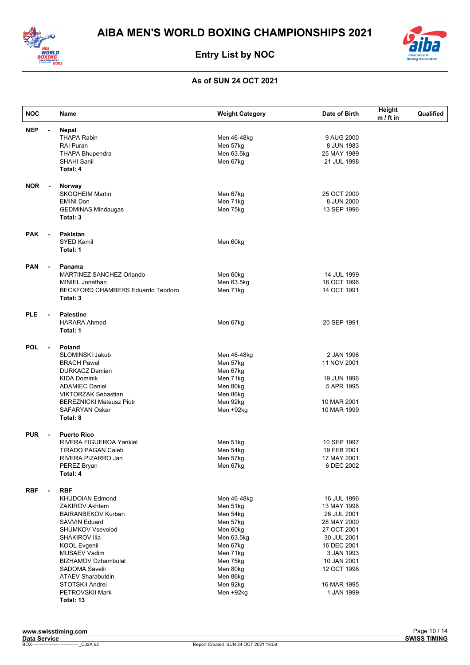



| <b>NOC</b> |                | Name                                     | <b>Weight Category</b> | Date of Birth | Height<br>$m / ft$ in | Qualified |
|------------|----------------|------------------------------------------|------------------------|---------------|-----------------------|-----------|
| <b>NEP</b> | $\blacksquare$ | <b>Nepal</b>                             |                        |               |                       |           |
|            |                | <b>THAPA Rabin</b>                       | Men 46-48kg            | 9 AUG 2000    |                       |           |
|            |                | <b>RAI Puran</b>                         | Men 57kg               | 8 JUN 1983    |                       |           |
|            |                | <b>THAPA Bhupendra</b>                   | Men 63.5kg             | 25 MAY 1989   |                       |           |
|            |                | <b>SHAHI Sanil</b>                       | Men 67kg               | 21 JUL 1998   |                       |           |
|            |                | Total: 4                                 |                        |               |                       |           |
| <b>NOR</b> |                | Norway                                   |                        |               |                       |           |
|            |                | <b>SKOGHEIM Martin</b>                   | Men 67kg               | 25 OCT 2000   |                       |           |
|            |                | <b>EMINI Don</b>                         | Men 71kg               | 8 JUN 2000    |                       |           |
|            |                | <b>GEDMINAS Mindaugas</b>                | Men 75kg               | 13 SEP 1996   |                       |           |
|            |                | Total: 3                                 |                        |               |                       |           |
| <b>PAK</b> | $\blacksquare$ | Pakistan                                 |                        |               |                       |           |
|            |                | <b>SYED Kamil</b>                        | Men 60kg               |               |                       |           |
|            |                | Total: 1                                 |                        |               |                       |           |
| <b>PAN</b> | $\blacksquare$ | Panama                                   |                        |               |                       |           |
|            |                | MARTINEZ SANCHEZ Orlando                 | Men 60kg               | 14 JUL 1999   |                       |           |
|            |                | MINIEL Jonathan                          | Men 63.5kg             | 16 OCT 1996   |                       |           |
|            |                | <b>BECKFORD CHAMBERS Eduardo Teodoro</b> | Men 71kg               | 14 OCT 1991   |                       |           |
|            |                | Total: 3                                 |                        |               |                       |           |
| <b>PLE</b> |                | <b>Palestine</b>                         |                        |               |                       |           |
|            |                | <b>HARARA Ahmed</b>                      | Men 67kg               | 20 SEP 1991   |                       |           |
|            |                | Total: 1                                 |                        |               |                       |           |
| <b>POL</b> | $\blacksquare$ | Poland                                   |                        |               |                       |           |
|            |                | SLOMINSKI Jakub                          | Men 46-48kg            | 2 JAN 1996    |                       |           |
|            |                | <b>BRACH Pawel</b>                       | Men 57kg               | 11 NOV 2001   |                       |           |
|            |                | <b>DURKACZ Damian</b>                    | Men 67kg               |               |                       |           |
|            |                | <b>KIDA Dominik</b>                      | Men 71kg               | 19 JUN 1996   |                       |           |
|            |                | <b>ADAMIEC Daniel</b>                    | Men 80kg               | 5 APR 1995    |                       |           |
|            |                | <b>VIKTORZAK Sebastian</b>               | Men 86kg               |               |                       |           |
|            |                | <b>BEREZNICKI Mateusz Piotr</b>          | Men 92kg               | 10 MAR 2001   |                       |           |
|            |                | <b>SAFARYAN Oskar</b>                    | Men +92kg              | 10 MAR 1999   |                       |           |
|            |                | Total: 8                                 |                        |               |                       |           |
| <b>PUR</b> |                | <b>Puerto Rico</b>                       |                        |               |                       |           |
|            |                | <b>RIVERA FIGUEROA Yankiel</b>           | Men 51kg               | 10 SEP 1997   |                       |           |
|            |                | <b>TIRADO PAGAN Caleb</b>                | Men 54kg               | 19 FEB 2001   |                       |           |
|            |                | RIVERA PIZARRO Jan                       | Men 57kg               | 17 MAY 2001   |                       |           |
|            |                | PEREZ Bryan<br>Total: 4                  | Men 67kg               | 6 DEC 2002    |                       |           |
|            |                |                                          |                        |               |                       |           |
| <b>RBF</b> | $\blacksquare$ | <b>RBF</b>                               |                        |               |                       |           |
|            |                | <b>KHUDOIAN Edmond</b>                   | Men 46-48kg            | 16 JUL 1996   |                       |           |
|            |                | <b>ZAKIROV Akhtem</b>                    | Men 51kg               | 13 MAY 1998   |                       |           |
|            |                | <b>BAIRANBEKOV Kurban</b>                | Men 54kg               | 26 JUL 2001   |                       |           |
|            |                | <b>SAVVIN Eduard</b>                     | Men 57kg               | 28 MAY 2000   |                       |           |
|            |                | SHUMKOV Vsevolod                         | Men 60kg               | 27 OCT 2001   |                       |           |
|            |                | SHAKIROV Ilia                            | Men 63.5kg             | 30 JUL 2001   |                       |           |
|            |                | <b>KOOL Evgenii</b>                      | Men 67kg               | 16 DEC 2001   |                       |           |
|            |                | <b>MUSAEV Vadim</b>                      | Men 71kg               | 3 JAN 1993    |                       |           |
|            |                | <b>BIZHAMOV Dzhambulat</b>               | Men 75kg               | 10 JAN 2001   |                       |           |
|            |                | SADOMA Savelii                           | Men 80kg               | 12 OCT 1998   |                       |           |
|            |                | <b>ATAEV Sharabutdin</b>                 | Men 86kg               |               |                       |           |
|            |                | STOTSKII Andrei                          | Men 92kg               | 16 MAR 1995   |                       |           |
|            |                | PETROVSKII Mark                          | Men +92kg              | 1 JAN 1999    |                       |           |
|            |                | Total: 13                                |                        |               |                       |           |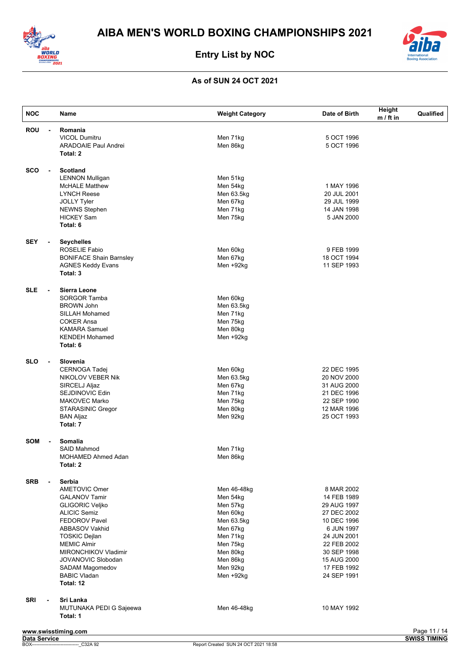



| <b>NOC</b>                             | Name                                 | <b>Weight Category</b> | Date of Birth | Height<br>$m / ft$ in | Qualified                           |
|----------------------------------------|--------------------------------------|------------------------|---------------|-----------------------|-------------------------------------|
| <b>ROU</b><br>$\blacksquare$           | Romania                              |                        |               |                       |                                     |
|                                        | <b>VICOL Dumitru</b>                 | Men 71kg               | 5 OCT 1996    |                       |                                     |
|                                        | <b>ARADOAIE Paul Andrei</b>          | Men 86kg               | 5 OCT 1996    |                       |                                     |
|                                        | Total: 2                             |                        |               |                       |                                     |
| <b>SCO</b><br>$\blacksquare$           | <b>Scotland</b>                      |                        |               |                       |                                     |
|                                        | <b>LENNON Mulligan</b>               | Men 51kg               |               |                       |                                     |
|                                        | <b>McHALE Matthew</b>                | Men 54kg               | 1 MAY 1996    |                       |                                     |
|                                        | <b>LYNCH Reese</b>                   | Men 63.5kg             | 20 JUL 2001   |                       |                                     |
|                                        | <b>JOLLY Tyler</b>                   | Men 67kg               | 29 JUL 1999   |                       |                                     |
|                                        | <b>NEWNS Stephen</b>                 | Men 71kg               | 14 JAN 1998   |                       |                                     |
|                                        | <b>HICKEY Sam</b>                    | Men 75kg               | 5 JAN 2000    |                       |                                     |
|                                        | Total: 6                             |                        |               |                       |                                     |
| <b>SEY</b><br>$\blacksquare$           | <b>Seychelles</b>                    |                        |               |                       |                                     |
|                                        | <b>ROSELIE Fabio</b>                 | Men 60kg               | 9 FEB 1999    |                       |                                     |
|                                        | <b>BONIFACE Shain Barnsley</b>       | Men 67kg               | 18 OCT 1994   |                       |                                     |
|                                        |                                      |                        |               |                       |                                     |
|                                        | <b>AGNES Keddy Evans</b><br>Total: 3 | Men +92kg              | 11 SEP 1993   |                       |                                     |
|                                        |                                      |                        |               |                       |                                     |
| <b>SLE</b><br>$\blacksquare$           | Sierra Leone                         |                        |               |                       |                                     |
|                                        | <b>SORGOR Tamba</b>                  | Men 60kg               |               |                       |                                     |
|                                        | <b>BROWN John</b>                    | Men 63.5kg             |               |                       |                                     |
|                                        | <b>SILLAH Mohamed</b>                | Men 71kg               |               |                       |                                     |
|                                        | <b>COKER Ansa</b>                    | Men 75kg               |               |                       |                                     |
|                                        | <b>KAMARA Samuel</b>                 | Men 80kg               |               |                       |                                     |
|                                        | <b>KENDEH Mohamed</b>                | Men +92kg              |               |                       |                                     |
|                                        | Total: 6                             |                        |               |                       |                                     |
| <b>SLO</b><br>$\overline{\phantom{a}}$ | Slovenia                             |                        |               |                       |                                     |
|                                        | <b>CERNOGA Tadej</b>                 | Men 60kg               | 22 DEC 1995   |                       |                                     |
|                                        | NIKOLOV VEBER Nik                    | Men 63.5kg             | 20 NOV 2000   |                       |                                     |
|                                        | SIRCELJ Aljaz                        | Men 67kg               | 31 AUG 2000   |                       |                                     |
|                                        | SEJDINOVIC Edin                      | Men 71kg               | 21 DEC 1996   |                       |                                     |
|                                        | <b>MAKOVEC Marko</b>                 | Men 75kg               | 22 SEP 1990   |                       |                                     |
|                                        | <b>STARASINIC Gregor</b>             | Men 80kg               | 12 MAR 1996   |                       |                                     |
|                                        | <b>BAN Aljaz</b>                     | Men 92kg               | 25 OCT 1993   |                       |                                     |
|                                        | Total: 7                             |                        |               |                       |                                     |
| <b>SOM</b><br>$\blacksquare$           | Somalia                              |                        |               |                       |                                     |
|                                        | <b>SAID Mahmod</b>                   | Men 71kg               |               |                       |                                     |
|                                        | MOHAMED Ahmed Adan                   | Men 86kg               |               |                       |                                     |
|                                        | Total: 2                             |                        |               |                       |                                     |
| <b>SRB</b><br>$\blacksquare$           | <b>Serbia</b>                        |                        |               |                       |                                     |
|                                        | AMETOVIC Omer                        | Men 46-48kg            | 8 MAR 2002    |                       |                                     |
|                                        | <b>GALANOV Tamir</b>                 | Men 54kg               | 14 FEB 1989   |                       |                                     |
|                                        | <b>GLIGORIC Veljko</b>               | Men 57kg               | 29 AUG 1997   |                       |                                     |
|                                        | <b>ALICIC Semiz</b>                  | Men 60kg               | 27 DEC 2002   |                       |                                     |
|                                        | <b>FEDOROV Pavel</b>                 | Men 63.5kg             | 10 DEC 1996   |                       |                                     |
|                                        | <b>ABBASOV Vakhid</b>                | Men 67kg               | 6 JUN 1997    |                       |                                     |
|                                        | <b>TOSKIC Dejlan</b>                 | Men 71kg               | 24 JUN 2001   |                       |                                     |
|                                        | <b>MEMIC Almir</b>                   | Men 75kg               | 22 FEB 2002   |                       |                                     |
|                                        | <b>MIRONCHIKOV Vladimir</b>          |                        |               |                       |                                     |
|                                        |                                      | Men 80kg               | 30 SEP 1998   |                       |                                     |
|                                        | JOVANOVIC Slobodan                   | Men 86kg               | 15 AUG 2000   |                       |                                     |
|                                        | SADAM Magomedov                      | Men 92kg               | 17 FEB 1992   |                       |                                     |
|                                        | <b>BABIC Vladan</b><br>Total: 12     | Men +92kg              | 24 SEP 1991   |                       |                                     |
|                                        |                                      |                        |               |                       |                                     |
| <b>SRI</b><br>$\blacksquare$           | Sri Lanka                            |                        |               |                       |                                     |
|                                        | MUTUNAKA PEDI G Sajeewa<br>Total: 1  | Men 46-48kg            | 10 MAY 1992   |                       |                                     |
|                                        |                                      |                        |               |                       |                                     |
| Data Service                           | www.swisstiming.com                  |                        |               |                       | Page 11 / 14<br><b>SWISS TIMING</b> |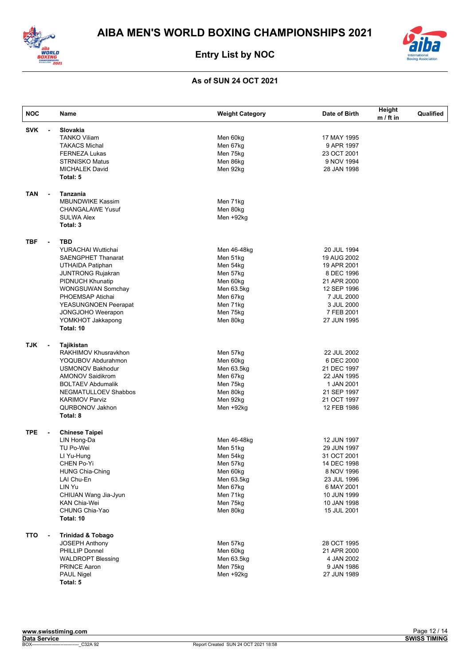



| <b>NOC</b>                             | Name                                                     | <b>Weight Category</b> | Date of Birth | Height<br>$m / ft$ in | Qualified |
|----------------------------------------|----------------------------------------------------------|------------------------|---------------|-----------------------|-----------|
| <b>SVK</b>                             | Slovakia<br>$\overline{a}$                               |                        |               |                       |           |
|                                        | <b>TANKO Viliam</b>                                      | Men 60kg               | 17 MAY 1995   |                       |           |
|                                        | <b>TAKACS Michal</b>                                     | Men 67kg               | 9 APR 1997    |                       |           |
|                                        | <b>FERNEZA Lukas</b>                                     | Men 75kg               | 23 OCT 2001   |                       |           |
|                                        | <b>STRNISKO Matus</b>                                    | Men 86kg               | 9 NOV 1994    |                       |           |
|                                        | <b>MICHALEK David</b>                                    | Men 92kg               | 28 JAN 1998   |                       |           |
|                                        | Total: 5                                                 |                        |               |                       |           |
| <b>TAN</b>                             | Tanzania<br>$\overline{\phantom{a}}$                     |                        |               |                       |           |
|                                        | <b>MBUNDWIKE Kassim</b>                                  | Men 71kg               |               |                       |           |
|                                        | <b>CHANGALAWE Yusuf</b>                                  | Men 80kg               |               |                       |           |
|                                        | <b>SULWA Alex</b>                                        | Men +92kg              |               |                       |           |
|                                        | Total: 3                                                 |                        |               |                       |           |
| <b>TBF</b><br>$\blacksquare$           | <b>TBD</b>                                               |                        |               |                       |           |
|                                        | <b>YURACHAI Wuttichai</b>                                | Men 46-48kg            | 20 JUL 1994   |                       |           |
|                                        | <b>SAENGPHET Thanarat</b>                                | Men 51kg               | 19 AUG 2002   |                       |           |
|                                        | UTHAIDA Patiphan                                         | Men 54kg               | 19 APR 2001   |                       |           |
|                                        | <b>JUNTRONG Rujakran</b>                                 | Men 57kg               | 8 DEC 1996    |                       |           |
|                                        | PIDNUCH Khunatip                                         | Men 60kg               | 21 APR 2000   |                       |           |
|                                        | <b>WONGSUWAN Somchav</b>                                 | Men 63.5kg             | 12 SEP 1996   |                       |           |
|                                        | PHOEMSAP Atichai                                         | Men 67kg               | 7 JUL 2000    |                       |           |
|                                        | <b>YEASUNGNOEN Peerapat</b>                              | Men 71kg               | 3 JUL 2000    |                       |           |
|                                        | JONGJOHO Weerapon                                        | Men 75kg               | 7 FEB 2001    |                       |           |
|                                        | YOMKHOT Jakkapong                                        | Men 80kg               | 27 JUN 1995   |                       |           |
|                                        | Total: 10                                                |                        |               |                       |           |
| <b>TJK</b><br>$\blacksquare$           | Tajikistan                                               |                        |               |                       |           |
|                                        | RAKHIMOV Khusravkhon                                     | Men 57kg               | 22 JUL 2002   |                       |           |
|                                        | YOQUBOV Abdurahmon                                       | Men 60kg               | 6 DEC 2000    |                       |           |
|                                        | <b>USMONOV Bakhodur</b>                                  | Men 63.5kg             | 21 DEC 1997   |                       |           |
|                                        | <b>AMONOV Saidikrom</b>                                  | Men 67kg               | 22 JAN 1995   |                       |           |
|                                        | <b>BOLTAEV Abdumalik</b>                                 | Men 75kg               | 1 JAN 2001    |                       |           |
|                                        | <b>NEGMATULLOEV Shabbos</b>                              | Men 80kg               | 21 SEP 1997   |                       |           |
|                                        | <b>KARIMOV Parviz</b>                                    | Men 92kg               | 21 OCT 1997   |                       |           |
|                                        | QURBONOV Jakhon                                          | Men +92kg              | 12 FEB 1986   |                       |           |
|                                        | Total: 8                                                 |                        |               |                       |           |
| <b>TPE</b><br>$\overline{\phantom{a}}$ | <b>Chinese Taipei</b>                                    |                        |               |                       |           |
|                                        | LIN Hong-Da                                              | Men 46-48kg            | 12 JUN 1997   |                       |           |
|                                        | TU Po-Wei                                                | Men 51kg               | 29 JUN 1997   |                       |           |
|                                        | LI Yu-Hung                                               | Men 54kg               | 31 OCT 2001   |                       |           |
|                                        | CHEN Po-Yi                                               | Men 57kg               | 14 DEC 1998   |                       |           |
|                                        | <b>HUNG Chia-Ching</b>                                   | Men 60kg               | 8 NOV 1996    |                       |           |
|                                        | LAI Chu-En                                               | Men 63.5kg             | 23 JUL 1996   |                       |           |
|                                        | LIN Yu                                                   | Men 67kg               | 6 MAY 2001    |                       |           |
|                                        | CHIUAN Wang Jia-Jyun                                     | Men 71kg               | 10 JUN 1999   |                       |           |
|                                        | KAN Chia-Wei                                             | Men 75kg               | 10 JAN 1998   |                       |           |
|                                        | CHUNG Chia-Yao                                           | Men 80kg               | 15 JUL 2001   |                       |           |
|                                        | Total: 10                                                |                        |               |                       |           |
| <b>TTO</b>                             | <b>Trinidad &amp; Tobago</b><br>$\overline{\phantom{a}}$ |                        |               |                       |           |
|                                        | <b>JOSEPH Anthony</b>                                    | Men 57kg               | 28 OCT 1995   |                       |           |
|                                        | PHILLIP Donnel                                           | Men 60kg               | 21 APR 2000   |                       |           |
|                                        | <b>WALDROPT Blessing</b>                                 | Men 63.5kg             | 4 JAN 2002    |                       |           |
|                                        | PRINCE Aaron                                             | Men 75kg               | 9 JAN 1986    |                       |           |
|                                        | PAUL Nigel                                               | Men +92kg              | 27 JUN 1989   |                       |           |
|                                        | Total: 5                                                 |                        |               |                       |           |
|                                        |                                                          |                        |               |                       |           |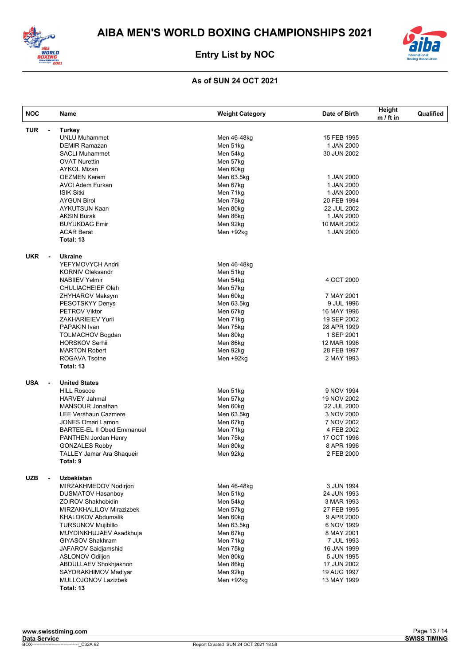



| <b>NOC</b>                             | Name                                             | <b>Weight Category</b> | Date of Birth             | Height<br>$m / ft$ in | Qualified |
|----------------------------------------|--------------------------------------------------|------------------------|---------------------------|-----------------------|-----------|
| <b>TUR</b><br>$\overline{\phantom{a}}$ | <b>Turkey</b>                                    |                        |                           |                       |           |
|                                        | <b>UNLU Muhammet</b>                             | Men 46-48kg            | 15 FEB 1995               |                       |           |
|                                        | <b>DEMIR Ramazan</b>                             | Men 51kg               | 1 JAN 2000                |                       |           |
|                                        | <b>SACLI Muhammet</b>                            | Men 54kg               | 30 JUN 2002               |                       |           |
|                                        | <b>OVAT Nurettin</b>                             | Men 57kg               |                           |                       |           |
|                                        | <b>AYKOL Mizan</b>                               | Men 60kg               |                           |                       |           |
|                                        | <b>OEZMEN Kerem</b>                              | Men 63.5kg             | 1 JAN 2000                |                       |           |
|                                        | <b>AVCI Adem Furkan</b>                          | Men 67kg               | 1 JAN 2000                |                       |           |
|                                        | <b>ISIK Sitki</b>                                | Men 71kg               | 1 JAN 2000                |                       |           |
|                                        | <b>AYGUN Birol</b>                               | Men 75kg               | 20 FEB 1994               |                       |           |
|                                        | <b>AYKUTSUN Kaan</b>                             | Men 80kg               | 22 JUL 2002               |                       |           |
|                                        | <b>AKSIN Burak</b>                               | Men 86kg               | 1 JAN 2000                |                       |           |
|                                        | <b>BUYUKDAG Emir</b>                             | Men 92kg               | 10 MAR 2002               |                       |           |
|                                        | <b>ACAR Berat</b>                                | Men +92kg              | 1 JAN 2000                |                       |           |
|                                        | Total: 13                                        |                        |                           |                       |           |
| <b>UKR</b><br>$\blacksquare$           | <b>Ukraine</b>                                   |                        |                           |                       |           |
|                                        | YEFYMOVYCH Andrii                                | Men 46-48kg            |                           |                       |           |
|                                        | <b>KORNIV Oleksandr</b>                          | Men 51kg               |                           |                       |           |
|                                        | <b>NABIIEV Yelmir</b>                            | Men 54kg               | 4 OCT 2000                |                       |           |
|                                        | <b>CHULIACHEIEF Oleh</b>                         | Men 57kg               |                           |                       |           |
|                                        | ZHYHAROV Maksym                                  | Men 60kg               | 7 MAY 2001                |                       |           |
|                                        | PESOTSKYY Denys                                  | Men 63.5kg             | 9 JUL 1996                |                       |           |
|                                        | <b>PETROV Viktor</b>                             | Men 67kg               | 16 MAY 1996               |                       |           |
|                                        | <b>ZAKHARIEIEV Yurii</b>                         | Men 71kg               | 19 SEP 2002               |                       |           |
|                                        | PAPAKIN Ivan                                     | Men 75kg               | 28 APR 1999               |                       |           |
|                                        | <b>TOLMACHOV Bogdan</b>                          | Men 80kg               | 1 SEP 2001                |                       |           |
|                                        | <b>HORSKOV Serhii</b>                            | Men 86kg               | 12 MAR 1996               |                       |           |
|                                        | <b>MARTON Robert</b>                             | Men 92kg               | 28 FEB 1997               |                       |           |
|                                        | <b>ROGAVA Tsotne</b><br>Total: 13                | Men +92kg              | 2 MAY 1993                |                       |           |
|                                        |                                                  |                        |                           |                       |           |
| <b>USA</b><br>$\blacksquare$           | <b>United States</b>                             |                        |                           |                       |           |
|                                        | <b>HILL Roscoe</b>                               | Men 51kg               | 9 NOV 1994                |                       |           |
|                                        | <b>HARVEY Jahmal</b>                             | Men 57kg               | 19 NOV 2002               |                       |           |
|                                        | <b>MANSOUR Jonathan</b>                          | Men 60kg               | 22 JUL 2000<br>3 NOV 2000 |                       |           |
|                                        | <b>LEE Vershaun Cazmere</b><br>JONES Omari Lamon | Men 63.5kg<br>Men 67kg | 7 NOV 2002                |                       |           |
|                                        | <b>BARTEE-EL II Obed Emmanuel</b>                | Men 71kg               | 4 FEB 2002                |                       |           |
|                                        | PANTHEN Jordan Henry                             | Men 75kg               | 17 OCT 1996               |                       |           |
|                                        | <b>GONZALES Robby</b>                            | Men 80kg               | 8 APR 1996                |                       |           |
|                                        | <b>TALLEY Jamar Ara Shaqueir</b>                 | Men 92kg               | 2 FEB 2000                |                       |           |
|                                        | Total: 9                                         |                        |                           |                       |           |
| <b>UZB</b><br>$\blacksquare$           | <b>Uzbekistan</b>                                |                        |                           |                       |           |
|                                        | MIRZAKHMEDOV Nodirjon                            | Men 46-48kg            | 3 JUN 1994                |                       |           |
|                                        | <b>DUSMATOV Hasanboy</b>                         | Men 51kg               | 24 JUN 1993               |                       |           |
|                                        | <b>ZOIROV Shakhobidin</b>                        | Men 54kg               | 3 MAR 1993                |                       |           |
|                                        | MIRZAKHALILOV Mirazizbek                         | Men 57kg               | 27 FEB 1995               |                       |           |
|                                        | <b>KHALOKOV Abdumalik</b>                        | Men 60kg               | 9 APR 2000                |                       |           |
|                                        | <b>TURSUNOV Mujibillo</b>                        | Men 63.5kg             | 6 NOV 1999                |                       |           |
|                                        | MUYDINKHUJAEV Asadkhuja                          | Men 67kg               | 8 MAY 2001                |                       |           |
|                                        | <b>GIYASOV Shakhram</b>                          | Men 71kg               | 7 JUL 1993                |                       |           |
|                                        | JAFAROV Saidjamshid                              | Men 75kg               | 16 JAN 1999               |                       |           |
|                                        | <b>ASLONOV Odiljon</b>                           | Men 80kg               | 5 JUN 1995                |                       |           |
|                                        | ABDULLAEV Shokhjakhon                            | Men 86kg               | 17 JUN 2002               |                       |           |
|                                        | SAYDRAKHIMOV Madiyar                             | Men 92kg               | 19 AUG 1997               |                       |           |
|                                        | MULLOJONOV Lazizbek                              | Men +92kg              | 13 MAY 1999               |                       |           |
|                                        | Total: 13                                        |                        |                           |                       |           |